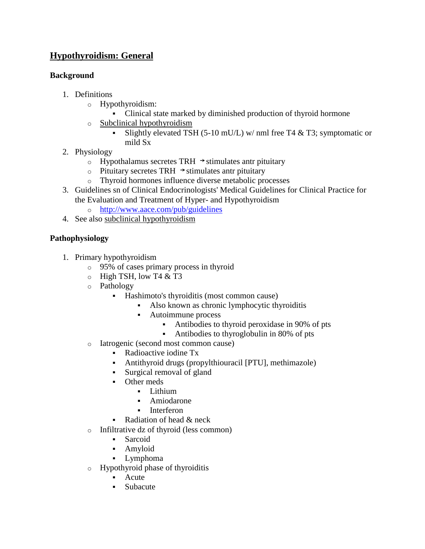# **Hypothyroidism: General**

#### **Background**

- 1. Definitions
	- o Hypothyroidism:
		- Clinical state marked by diminished production of thyroid hormone
	- o [Subclinical hypothyroidism](http://www.pepidonline.com/content/content.aspx?url=men620.htm)
		- Slightly elevated TSH (5-10 mU/L) w/ nml free T4  $&$  T3; symptomatic or mild Sx
- 2. Physiology
	- $\circ$  Hypothalamus secretes TRH  $\rightarrow$  stimulates antr pituitary
	- o Pituitary secretes TRH  $\rightarrow$  stimulates antr pituitary
	- o Thyroid hormones influence diverse metabolic processes
- 3. Guidelines sn of Clinical Endocrinologists' Medical Guidelines for Clinical Practice for the Evaluation and Treatment of Hyper- and Hypothyroidism
	- o <http://www.aace.com/pub/guidelines>
- 4. See also [subclinical hypothyroidism](http://www.pepidonline.com/content/content.aspx?url=men620.htm)

# **Pathophysiology**

- 1. Primary hypothyroidism
	- o 95% of cases primary process in thyroid
	- $\circ$  High TSH, low T4 & T3
	- o Pathology
		- Hashimoto's thyroiditis (most common cause)
			- Also known as chronic lymphocytic thyroiditis
			- Autoimmune process
				- Antibodies to thyroid peroxidase in 90% of pts
				- Antibodies to thyroglobulin in 80% of pts
	- o Iatrogenic (second most common cause)
		- Radioactive iodine Tx
		- Antithyroid drugs (propylthiouracil [PTU], methimazole)
		- Surgical removal of gland
		- Other meds
			- **Lithium**
			- Amiodarone
			- **Interferon**
		- Radiation of head  $&$  neck
	- o Infiltrative dz of thyroid (less common)
		- Sarcoid
		- Amyloid
		- Lymphoma
	- o Hypothyroid phase of thyroiditis
		- **Acute**
		- Subacute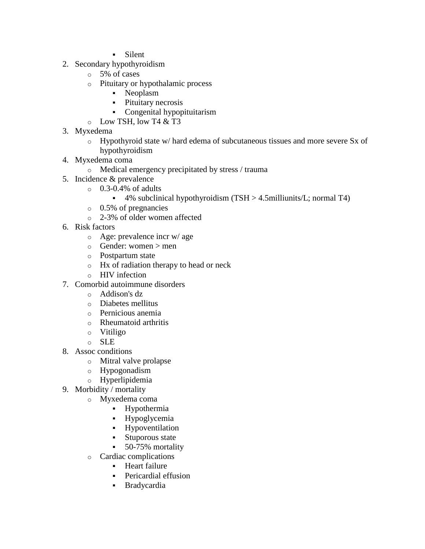- Silent
- 2. Secondary hypothyroidism
	- o 5% of cases
	- o Pituitary or hypothalamic process
		- Neoplasm
		- Pituitary necrosis
		- Congenital hypopituitarism
	- $\circ$  Low TSH, low T4 & T3
- 3. Myxedema
	- o Hypothyroid state w/ hard edema of subcutaneous tissues and more severe Sx of hypothyroidism
- 4. Myxedema coma
	- o Medical emergency precipitated by stress / trauma
- 5. Incidence & prevalence
	- $\circ$  0.3-0.4% of adults
		- $\bullet$  4% subclinical hypothyroidism (TSH > 4.5milliunits/L; normal T4)
	- o 0.5% of pregnancies
	- o 2-3% of older women affected
- 6. Risk factors
	- o Age: prevalence incr w/ age
	- $\circ$  Gender: women  $>$  men
	- o Postpartum state
	- o Hx of radiation therapy to head or neck
	- o HIV infection
- 7. Comorbid autoimmune disorders
	- o Addison's dz
	- o Diabetes mellitus
	- o Pernicious anemia
	- o Rheumatoid arthritis
	- o Vitiligo
	- o SLE
- 8. Assoc conditions
	- o Mitral valve prolapse
	- o Hypogonadism
	- o Hyperlipidemia
- 9. Morbidity / mortality
	- o Myxedema coma
		- Hypothermia
		- Hypoglycemia
		- **Hypoventilation**
		- **Stuporous state**
		- 50-75% mortality
	- o Cardiac complications
		- **Heart failure**
		- **Pericardial effusion**
		- Bradycardia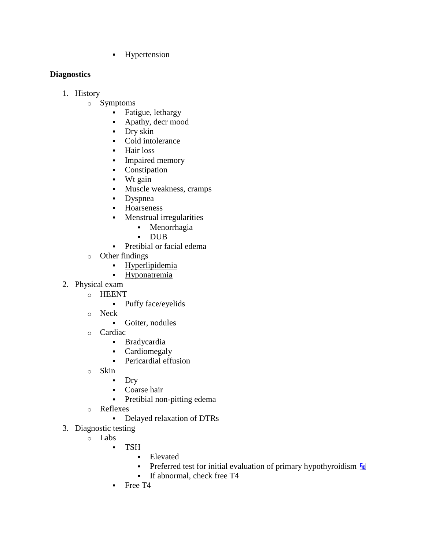**-** Hypertension

# **Diagnostics**

- 1. History
	- o Symptoms
		- Fatigue, lethargy
		- Apathy, decr mood
		- Dry skin
		- Cold intolerance
		- Hair loss
		- **Impaired memory**
		- Constipation
		- $\blacksquare$  Wt gain
		- Muscle weakness, cramps
		- Dyspnea
		- **-** Hoarseness
		- **Menstrual irregularities** 
			- Menorrhagia
			- DUB
		- Pretibial or facial edema
	- o Other findings
		- [Hyperlipidemia](http://www.pepidonline.com/content/content.aspx?url=endocrine.htm#lipid)
		- [Hyponatremia](http://www.pepidonline.com/content/content.aspx?url=men160.htm)
- 2. Physical exam
	- o HEENT
		- Puffy face/eyelids
		- o Neck
			- Goiter, nodules
		- o Cardiac
			- Bradycardia
			- Cardiomegaly
			- Pericardial effusion
		- o Skin
			- Dry
			- Coarse hair
			- Pretibial non-pitting edema
		- o Reflexes
			- Delayed relaxation of DTRs
- 3. Diagnostic testing
	- o Labs
		- [TSH](http://www.pepidonline.com/content/content.aspx?url=LAB/lab100.htm)
			- **Elevated**
			- **Preferred test for initial evaluation of primary hypothyroidism**  $F_R$
			- If abnormal, check free T<sub>4</sub>
		- Free T4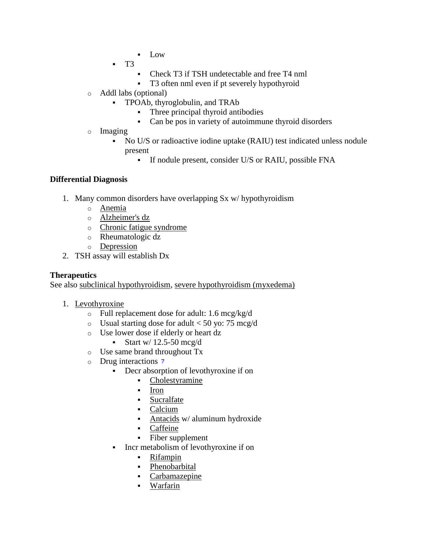- **Low**
- T3
	- Check T3 if TSH undetectable and free T4 nml
	- T3 often nml even if pt severely hypothyroid
- o Addl labs (optional)
	- TPOAb, thyroglobulin, and TRAb
		- Three principal thyroid antibodies
		- Can be pos in variety of autoimmune thyroid disorders
- o Imaging
	- No U/S or radioactive iodine uptake (RAIU) test indicated unless nodule present
		- If nodule present, consider U/S or RAIU, possible FNA

## **Differential Diagnosis**

- 1. Many common disorders have overlapping Sx w/ hypothyroidism
	- o [Anemia](http://www.pepidonline.com/content/content.aspx?url=hematology.htm#anemias)
	- o [Alzheimer's dz](http://www.pepidonline.com/content/content.aspx?url=nep/nep570.htm)
	- o [Chronic fatigue syndrome](http://www.pepidonline.com/content/content.aspx?url=ore/ore715.htm)
	- o Rheumatologic dz
	- o [Depression](http://www.pepidonline.com/content/content.aspx?url=nep/nep665.htm)
- 2. TSH assay will establish Dx

#### **Therapeutics**

See also [subclinical hypothyroidism,](http://www.pepidonline.com/content/content.aspx?url=men620.htm) [severe hypothyroidism \(myxedema\)](http://www.pepidonline.com/content/content.aspx?url=men370.htm)

- 1. [Levothyroxine](http://www.pepidonline.com/content/content.aspx?url=DME/dme360.htm)
	- o Full replacement dose for adult: 1.6 mcg/kg/d
	- $\circ$  Usual starting dose for adult < 50 yo: 75 mcg/d
	- o Use lower dose if elderly or heart dz

#### Start w/  $12.5-50$  mcg/d

- o Use same brand throughout Tx
- o Drug interactions 7
	- Decr absorption of levothyroxine if on
		- [Cholestyramine](http://www.pepidonline.com/content/content.aspx?url=DHV/dhv935.htm)
		- **[Iron](http://www.pepidonline.com/content/content.aspx?url=dhematology.htm#iron)**
		- **[Sucralfate](http://www.pepidonline.com/content/content.aspx?url=DGI/dgi185.htm)**
		- [Calcium](http://www.pepidonline.com/content/content.aspx?url=DGI/dgi115.htm)
		- [Antacids](http://www.pepidonline.com/content/content.aspx?url=dgastro.htm) w/ aluminum hydroxide
		- [Caffeine](http://www.pepidonline.com/content/content.aspx?url=DNE/dne555.htm)
		- Fiber supplement
	- Incr metabolism of levothyroxine if on
		- [Rifampin](http://www.pepidonline.com/content/content.aspx?url=DID/did570.htm)
		- [Phenobarbital](http://www.pepidonline.com/content/content.aspx?url=DNE/dne655.htm)
		- [Carbamazepine](http://www.pepidonline.com/content/content.aspx?url=DNE/dne610.htm)
		- [Warfarin](http://www.pepidonline.com/content/content.aspx?url=DHO/dho785.htm)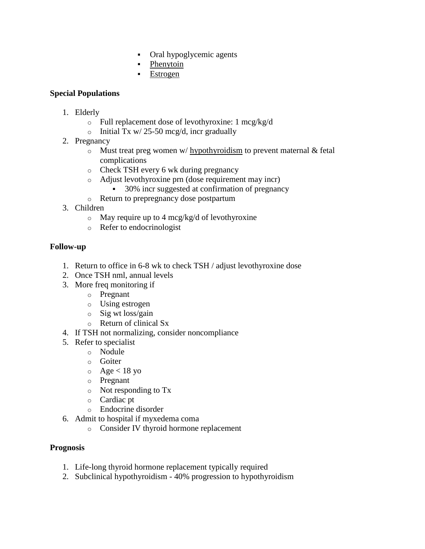- Oral hypoglycemic agents
- [Phenytoin](http://www.pepidonline.com/content/content.aspx?url=DNE/dne660.htm)
- [Estrogen](http://www.pepidonline.com/content/content.aspx?url=dmetendster.htm)

## **Special Populations**

- 1. Elderly
	- o Full replacement dose of levothyroxine: 1 mcg/kg/d
	- o Initial Tx w/ 25-50 mcg/d, incr gradually
- 2. Pregnancy
	- $\circ$  Must treat preg women w/ [hypothyroidism](http://www.pepidonline.com/content/content.aspx?url=prg/prg120.htm) to prevent maternal & fetal complications
	- o Check TSH every 6 wk during pregnancy
	- o Adjust levothyroxine prn (dose requirement may incr)
		- 30% incr suggested at confirmation of pregnancy
	- o Return to prepregnancy dose postpartum
- 3. Children
	- $\circ$  May require up to 4 mcg/kg/d of levothyroxine
	- o Refer to endocrinologist

## **Follow-up**

- 1. Return to office in 6-8 wk to check TSH / adjust levothyroxine dose
- 2. Once TSH nml, annual levels
- 3. More freq monitoring if
	- o Pregnant
	- o Using estrogen
	- o Sig wt loss/gain
	- o Return of clinical Sx
- 4. If TSH not normalizing, consider noncompliance
- 5. Refer to specialist
	- o Nodule
	- o Goiter
	- $\circ$  Age < 18 yo
	- o Pregnant
	- o Not responding to Tx
	- o Cardiac pt
	- o Endocrine disorder
- 6. Admit to hospital if myxedema coma
	- o Consider IV thyroid hormone replacement

#### **Prognosis**

- 1. Life-long thyroid hormone replacement typically required
- 2. Subclinical hypothyroidism 40% progression to hypothyroidism